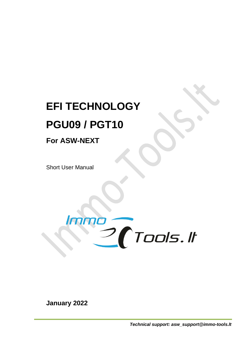# **EFI TECHNOLOGY PGU09 / PGT10**

# **For ASW-NEXT**

Short User Manual



**January 2022**

*Technical support: asw\_support@immo-tools.lt*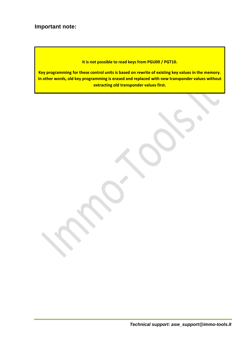# **Important note:**

**It is not possible to read keys from PGU09 / PGT10.**

**Key programming for these control units is based on rewrite of existing key values in the memory. In other words, old key programming is erased and replaced with new transponder values without extracting old transponder values first.**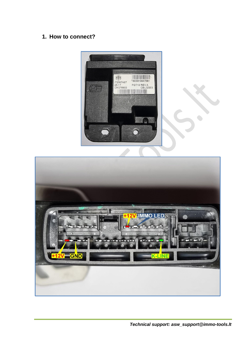# **1. How to connect?**



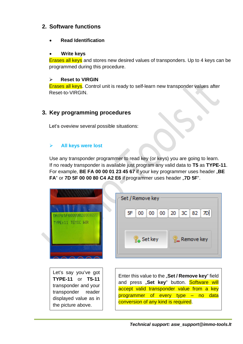# **2. Software functions**

• **Read Identification**

#### • **Write keys**

Erases all keys and stores new desired values of transponders. Up to 4 keys can be programmed during this procedure.

#### ➢ **Reset to VIRGIN**

Erases all keys. Control unit is ready to self-learn new transponder values after Reset-to-VIRGIN.

# **3. Key programming procedures**

Let's oveview several possible situations:

#### ➢ **All keys were lost**

Use any transponder programmer to read key (or keys) you are going to learn. If no ready transponder is available just program any valid data to **T5** as **TYPE-11**. For example, **BE FA 00 00 01 23 45 67** if your key programmer uses header "**BE FA**" or **7D 5F 00 00 80 C4 A2 E6** if programmer uses header "**7D 5F**".

| 08TR: 5F00000020808271<br>TYPE: 11 TEMIC WR                                                                                              | Set / Remove key<br>$3C$ 82<br>5F<br>$00\,$<br>00<br>20<br>00                                                                                                                                                                 |
|------------------------------------------------------------------------------------------------------------------------------------------|-------------------------------------------------------------------------------------------------------------------------------------------------------------------------------------------------------------------------------|
|                                                                                                                                          | <b>Ra</b> Set key<br><b>E</b> Remove key                                                                                                                                                                                      |
| Let's say you've got<br>TYPE-11 or T5-11<br>transponder and your<br>transponder<br>reader<br>displayed value as in<br>the picture above. | Enter this value to the "Set / Remove key" field<br>and press "Set key" button. Software will<br>accept valid transponder value from a key<br>data<br>of every type – no<br>programmer<br>conversion of any kind is required. |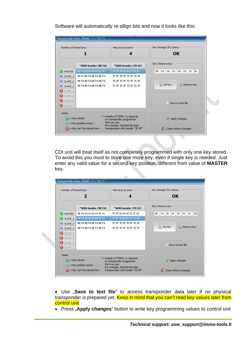Software will automatically re-allign bits and now it looks like this:

| OK<br>4<br>Set / Remove key<br>*With header /7D 5F/<br>*With header /BE FA/<br>41<br>04<br>3C<br><b>MASTER</b><br>BE FA 00 00 00 04 3C 41<br>7D 5F 00 00 00 20 3C 82<br>00<br>00<br>BE FA<br>00<br>BE FA BE FA BE FA BE FA<br>7D 5F 7D 5F 7D 5F 7D 5F<br>7D 5F 7D 5F 7D 5F 7D 5F<br>BE FA BE FA BE FA BE FA<br>Remove key<br><b>L</b> Set key<br>BE FA BE FA BE FA BE FA<br>7D 5F 7D 5F 7D 5F 7D 5F<br>$\infty$ SLAVE 3 |                                                    | Number of stored keys                 | Max keys to store                | Key storage CRC status                           |
|-------------------------------------------------------------------------------------------------------------------------------------------------------------------------------------------------------------------------------------------------------------------------------------------------------------------------------------------------------------------------------------------------------------------------|----------------------------------------------------|---------------------------------------|----------------------------------|--------------------------------------------------|
|                                                                                                                                                                                                                                                                                                                                                                                                                         |                                                    |                                       |                                  |                                                  |
|                                                                                                                                                                                                                                                                                                                                                                                                                         |                                                    |                                       |                                  |                                                  |
|                                                                                                                                                                                                                                                                                                                                                                                                                         |                                                    |                                       |                                  |                                                  |
|                                                                                                                                                                                                                                                                                                                                                                                                                         | $(X)$ SLAVE 1                                      |                                       |                                  |                                                  |
|                                                                                                                                                                                                                                                                                                                                                                                                                         | $\mathsf{\times}$ SLAVE 2                          |                                       |                                  |                                                  |
|                                                                                                                                                                                                                                                                                                                                                                                                                         |                                                    |                                       |                                  |                                                  |
| Save to text file                                                                                                                                                                                                                                                                                                                                                                                                       | SLAVE 4<br>SLAVE 5<br>SLAVE 6<br>$\bullet$ SLAVE_7 |                                       |                                  |                                                  |
|                                                                                                                                                                                                                                                                                                                                                                                                                         |                                                    |                                       |                                  | Apply changes                                    |
| -Notes<br>* = Header of TEMIC-11 depends<br>= Key stored<br>on transponder programmer<br>that you use.<br>$(x)$ = Key position empty<br>For example, Zed-Bull decodes                                                                                                                                                                                                                                                   |                                                    | $\bigcirc$ = Key can't be stored here | transponders with header "7D 5F" | $\left \frac{1}{2}\right $ Close without changes |

CDI unit will treat itself as not completely programmed with only one key stored. To avoid this you must to store one more key, even if single key is needed. Just enter any valid value for a second key position, different from value of **MASTER** key.

| Number of stored keys                                                                         |                         | Max keys to store<br>д  | OK                                                         |
|-----------------------------------------------------------------------------------------------|-------------------------|-------------------------|------------------------------------------------------------|
|                                                                                               | *With header /BE FA/    | *With header /7D 5F/    | Set / Remove key                                           |
| <b>2 MASTER</b>                                                                               | BE EA 00 00 00 04 3C 41 | 7D 5F 00 00 00 20 3C 82 | 55<br>00<br>00<br>04<br>зс<br><b>BE</b><br><b>FA</b><br>00 |
| SLAVE 1                                                                                       | BE FA 00 00 00 04 3C 55 | 7D 5F 00 00 00 20 3C AA |                                                            |
| $\mathsf{\times}$ SLAVE 2                                                                     | BE FA BE FA BE FA BE FA | 7D 5F 7D 5F 7D 5F 7D 5F |                                                            |
| $\bullet$ SLAVE_3                                                                             | BE FA BE FA BE FA BE FA | 7D 5F 7D 5F 7D 5F 7D 5F | <b>L</b> Set key<br><b>Remove key</b>                      |
| SLAVE 4                                                                                       |                         |                         |                                                            |
| SLAVE 5                                                                                       |                         |                         |                                                            |
| SLAVE 6                                                                                       |                         |                         | Save to text file                                          |
| $\bullet$ SLAVE_7                                                                             |                         |                         |                                                            |
|                                                                                               |                         |                         |                                                            |
| <b>Notes</b><br>$*$ = Header of TEMIC-11 depends<br>= Key stored<br>on transponder programmer |                         | Apply changes           |                                                            |

• Use "Save to text file" to access transponder data later if no physical transponder is prepared yet. Keep in mind that you can't read key values later from control unit

• Press "Apply changes" button to write key programming values to control unit